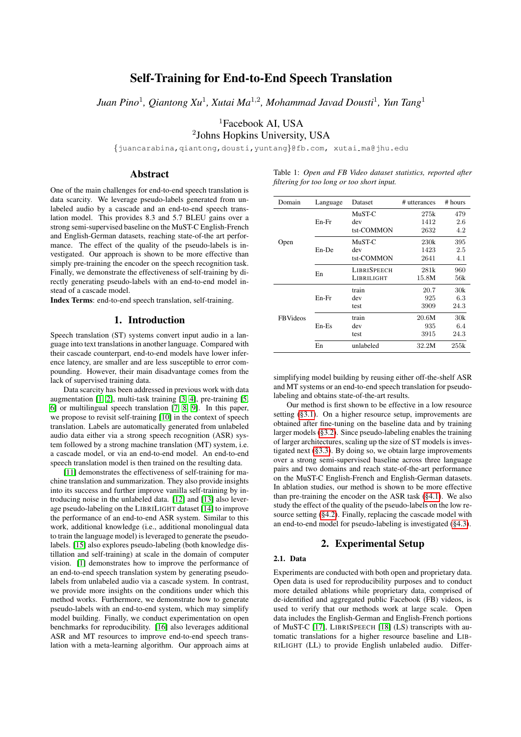# Self-Training for End-to-End Speech Translation

*Juan Pino*<sup>1</sup> *, Qiantong Xu*<sup>1</sup> *, Xutai Ma*<sup>1</sup>,<sup>2</sup> *, Mohammad Javad Dousti*<sup>1</sup> *, Yun Tang*<sup>1</sup>

<sup>1</sup>Facebook AI, USA

2 Johns Hopkins University, USA

{juancarabina,qiantong,dousti,yuntang}@fb.com, xutai ma@jhu.edu

## Abstract

One of the main challenges for end-to-end speech translation is data scarcity. We leverage pseudo-labels generated from unlabeled audio by a cascade and an end-to-end speech translation model. This provides 8.3 and 5.7 BLEU gains over a strong semi-supervised baseline on the MuST-C English-French and English-German datasets, reaching state-of-the art performance. The effect of the quality of the pseudo-labels is investigated. Our approach is shown to be more effective than simply pre-training the encoder on the speech recognition task. Finally, we demonstrate the effectiveness of self-training by directly generating pseudo-labels with an end-to-end model instead of a cascade model.

Index Terms: end-to-end speech translation, self-training.

## 1. Introduction

Speech translation (ST) systems convert input audio in a language into text translations in another language. Compared with their cascade counterpart, end-to-end models have lower inference latency, are smaller and are less susceptible to error compounding. However, their main disadvantage comes from the lack of supervised training data.

Data scarcity has been addressed in previous work with data augmentation [\[1,](#page-4-0) [2\]](#page-4-1), multi-task training [\[3,](#page-4-2) [4\]](#page-4-3), pre-training [\[5,](#page-4-4) [6\]](#page-4-5) or multilingual speech translation [\[7,](#page-4-6) [8,](#page-4-7) [9\]](#page-4-8). In this paper, we propose to revisit self-training [\[10\]](#page-4-9) in the context of speech translation. Labels are automatically generated from unlabeled audio data either via a strong speech recognition (ASR) system followed by a strong machine translation (MT) system, i.e. a cascade model, or via an end-to-end model. An end-to-end speech translation model is then trained on the resulting data.

[\[11\]](#page-4-10) demonstrates the effectiveness of self-training for machine translation and summarization. They also provide insights into its success and further improve vanilla self-training by introducing noise in the unlabeled data. [\[12\]](#page-4-11) and [\[13\]](#page-4-12) also leverage pseudo-labeling on the LIBRILIGHT dataset [\[14\]](#page-4-13) to improve the performance of an end-to-end ASR system. Similar to this work, additional knowledge (i.e., additional monolingual data to train the language model) is leveraged to generate the pseudolabels. [\[15\]](#page-4-14) also explores pseudo-labeling (both knowledge distillation and self-training) at scale in the domain of computer vision. [\[1\]](#page-4-0) demonstrates how to improve the performance of an end-to-end speech translation system by generating pseudolabels from unlabeled audio via a cascade system. In contrast, we provide more insights on the conditions under which this method works. Furthermore, we demonstrate how to generate pseudo-labels with an end-to-end system, which may simplify model building. Finally, we conduct experimentation on open benchmarks for reproducibility. [\[16\]](#page-4-15) also leverages additional ASR and MT resources to improve end-to-end speech translation with a meta-learning algorithm. Our approach aims at

<span id="page-0-0"></span>

|  |                                            |  | Table 1: Open and FB Video dataset statistics, reported after |  |
|--|--------------------------------------------|--|---------------------------------------------------------------|--|
|  | filtering for too long or too short input. |  |                                                               |  |

| Domain          | Language | Dataset            | # utterances | # hours |
|-----------------|----------|--------------------|--------------|---------|
|                 |          | MuST-C             | 275k         | 479     |
|                 | En-Fr    | dev                | 1412         | 2.6     |
|                 |          | tst-COMMON         | 2632         | 4.2     |
| Open            | En-De    | MuST-C             | 230k         | 395     |
|                 |          | dev                | 1423         | 2.5     |
|                 |          | tst-COMMON         | 2641         | 4.1     |
|                 | En       | <b>LIBRISPEECH</b> | 281k         | 960     |
|                 |          | LIBRILIGHT         | 15.8M        | 56k     |
|                 | En-Fr    | train              | 20.7         | 30k     |
| <b>FBVideos</b> |          | dev                | 925          | 6.3     |
|                 |          | test               | 3909         | 24.3    |
|                 | En-Es    | train              | 20.6M        | 30k     |
|                 |          | dev                | 935          | 6.4     |
|                 |          | test               | 3915         | 24.3    |
|                 | En       | unlabeled          | 32.2M        | 255k    |

simplifying model building by reusing either off-the-shelf ASR and MT systems or an end-to-end speech translation for pseudolabeling and obtains state-of-the-art results.

Our method is first shown to be effective in a low resource setting [\(§3.1\)](#page-2-0). On a higher resource setup, improvements are obtained after fine-tuning on the baseline data and by training larger models [\(§3.2\)](#page-2-1). Since pseudo-labeling enables the training of larger architectures, scaling up the size of ST models is investigated next [\(§3.3\)](#page-2-2). By doing so, we obtain large improvements over a strong semi-supervised baseline across three language pairs and two domains and reach state-of-the-art performance on the MuST-C English-French and English-German datasets. In ablation studies, our method is shown to be more effective than pre-training the encoder on the ASR task [\(§4.1\)](#page-2-3). We also study the effect of the quality of the pseudo-labels on the low resource setting [\(§4.2\)](#page-3-0). Finally, replacing the cascade model with an end-to-end model for pseudo-labeling is investigated [\(§4.3\)](#page-3-1).

## 2. Experimental Setup

### 2.1. Data

Experiments are conducted with both open and proprietary data. Open data is used for reproducibility purposes and to conduct more detailed ablations while proprietary data, comprised of de-identified and aggregated public Facebook (FB) videos, is used to verify that our methods work at large scale. Open data includes the English-German and English-French portions of MuST-C [\[17\]](#page-4-16), LIBRISPEECH [\[18\]](#page-4-17) (LS) transcripts with automatic translations for a higher resource baseline and LIB-RILIGHT (LL) to provide English unlabeled audio. Differ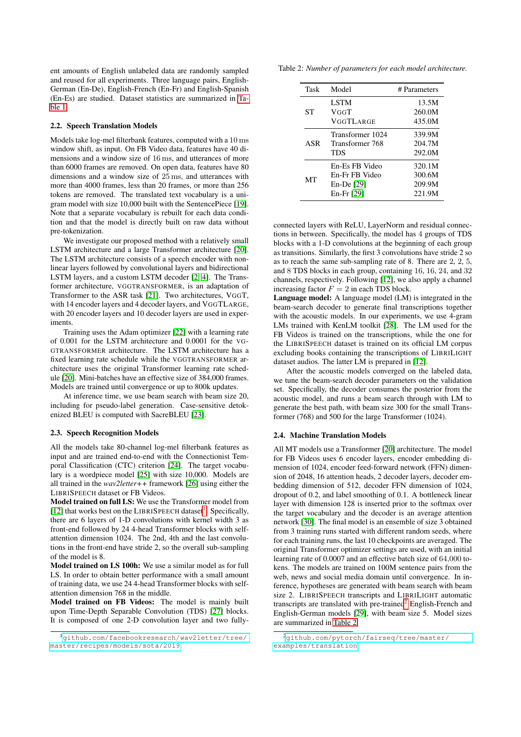ent amounts of English unlabeled data are randomly sampled and reused for all experiments. Three language pairs, English-German (En-De), English-French (En-Fr) and English-Spanish (En-Es) are studied. Dataset statistics are summarized in [Ta](#page-0-0)[ble 1.](#page-0-0)

#### 2.2. Speech Translation Models

Models take log-mel filterbank features, computed with a 10 ms window shift, as input. On FB Video data, features have 40 dimensions and a window size of 16 ms, and utterances of more than 6000 frames are removed. On open data, features have 80 dimensions and a window size of 25 ms, and utterances with more than 4000 frames, less than 20 frames, or more than 256 tokens are removed. The translated text vocabulary is a unigram model with size 10,000 built with the SentencePiece [\[19\]](#page-4-18). Note that a separate vocabulary is rebuilt for each data condition and that the model is directly built on raw data without pre-tokenization.

We investigate our proposed method with a relatively small LSTM architecture and a large Transformer architecture [\[20\]](#page-4-19). The LSTM architecture consists of a speech encoder with nonlinear layers followed by convolutional layers and bidirectional LSTM layers, and a custom LSTM decoder [\[2,](#page-4-1) [4\]](#page-4-3). The Transformer architecture, VGGTRANSFORMER, is an adaptation of Transformer to the ASR task [\[21\]](#page-4-20). Two architectures, VGGT, with 14 encoder layers and 4 decoder layers, and VGGTLARGE, with 20 encoder layers and 10 decoder layers are used in experiments.

Training uses the Adam optimizer [\[22\]](#page-4-21) with a learning rate of 0.001 for the LSTM architecture and 0.0001 for the VG-GTRANSFORMER architecture. The LSTM architecture has a fixed learning rate schedule while the VGGTRANSFORMER architecture uses the original Transformer learning rate schedule [\[20\]](#page-4-19). Mini-batches have an effective size of 384,000 frames. Models are trained until convergence or up to 800k updates.

At inference time, we use beam search with beam size 20, including for pseudo-label generation. Case-sensitive detokenized BLEU is computed with SacreBLEU [\[23\]](#page-4-22).

#### 2.3. Speech Recognition Models

All the models take 80-channel log-mel filterbank features as input and are trained end-to-end with the Connectionist Temporal Classification (CTC) criterion [\[24\]](#page-4-23). The target vocabulary is a wordpiece model [\[25\]](#page-4-24) with size 10,000. Models are all trained in the *wav2letter++* framework [\[26\]](#page-4-25) using either the LIBRISPEECH dataset or FB Videos.

Model trained on full LS: We use the Transformer model from [\[12\]](#page-4-11) that works best on the LIBRISPEECH dataset<sup>[1](#page-1-0)</sup>. Specifically, there are 6 layers of 1-D convolutions with kernel width 3 as front-end followed by 24 4-head Transformer blocks with selfattention dimension 1024. The 2nd, 4th and the last convolutions in the front-end have stride 2, so the overall sub-sampling of the model is 8.

Model trained on LS 100h: We use a similar model as for full LS. In order to obtain better performance with a small amount of training data, we use 24 4-head Transformer blocks with selfattention dimension 768 in the middle.

Model trained on FB Videos: The model is mainly built upon Time-Depth Separable Convolution (TDS) [\[27\]](#page-4-26) blocks. It is composed of one 2-D convolution layer and two fully-

<span id="page-1-2"></span>Table 2: *Number of parameters for each model architecture.*

| Task      | Model            | # Parameters |
|-----------|------------------|--------------|
|           | <b>LSTM</b>      | 13.5M        |
| <b>ST</b> | VGGT             | 260.0M       |
|           | VGGTLARGE        | 435.0M       |
| ASR       | Transformer 1024 | 339.9M       |
|           | Transformer 768  | 204.7M       |
|           | TDS              | 292.0M       |
| MТ        | En-Es FB Video   | 320.1M       |
|           | En-Fr FB Video   | 300.6M       |
|           | $En-De [29]$     | 209.9M       |
|           | $En-Fr [29]$     | 221.9M       |
|           |                  |              |

connected layers with ReLU, LayerNorm and residual connections in between. Specifically, the model has 4 groups of TDS blocks with a 1-D convolutions at the beginning of each group as transitions. Similarly, the first 3 convolutions have stride 2 so as to reach the same sub-sampling rate of 8. There are 2, 2, 5, and 8 TDS blocks in each group, containing 16, 16, 24, and 32 channels, respectively. Following [\[12\]](#page-4-11), we also apply a channel increasing factor  $F = 2$  in each TDS block.

Language model: A language model (LM) is integrated in the beam-search decoder to generate final transcriptions together with the acoustic models. In our experiments, we use 4-gram LMs trained with KenLM toolkit [\[28\]](#page-4-28). The LM used for the FB Videos is trained on the transcriptions, while the one for the LIBRISPEECH dataset is trained on its official LM corpus excluding books containing the transcriptions of LIBRILIGHT dataset audios. The latter LM is prepared in [\[12\]](#page-4-11).

After the acoustic models converged on the labeled data, we tune the beam-search decoder parameters on the validation set. Specifically, the decoder consumes the posterior from the acoustic model, and runs a beam search through with LM to generate the best path, with beam size 300 for the small Transformer (768) and 500 for the large Transformer (1024).

#### 2.4. Machine Translation Models

All MT models use a Transformer [\[20\]](#page-4-19) architecture. The model for FB Videos uses 6 encoder layers, encoder embedding dimension of 1024, encoder feed-forward network (FFN) dimension of 2048, 16 attention heads, 2 decoder layers, decoder embedding dimension of 512, decoder FFN dimension of 1024, dropout of 0.2, and label smoothing of 0.1. A bottleneck linear layer with dimension 128 is inserted prior to the softmax over the target vocabulary and the decoder is an average attention network [\[30\]](#page-4-29). The final model is an ensemble of size 3 obtained from 3 training runs started with different random seeds, where for each training runs, the last 10 checkpoints are averaged. The original Transformer optimizer settings are used, with an initial learning rate of 0.0007 and an effective batch size of 64,000 tokens. The models are trained on 100M sentence pairs from the web, news and social media domain until convergence. In inference, hypotheses are generated with beam search with beam size 2. LIBRISPEECH transcripts and LIBRILIGHT automatic transcripts are translated with pre-trained<sup>[2](#page-1-1)</sup> English-French and English-German models [\[29\]](#page-4-27), with beam size 5. Model sizes are summarized in [Table 2.](#page-1-2)

<span id="page-1-0"></span><sup>1</sup>[github.com/facebookresearch/wav2letter/tree/](github.com/facebookresearch/wav2letter/tree/master/recipes/models/sota/2019) [master/recipes/models/sota/2019](github.com/facebookresearch/wav2letter/tree/master/recipes/models/sota/2019).

<span id="page-1-1"></span><sup>2</sup>[github.com/pytorch/fairseq/tree/master/](github.com/pytorch/fairseq/tree/master/examples/translation) [examples/translation](github.com/pytorch/fairseq/tree/master/examples/translation)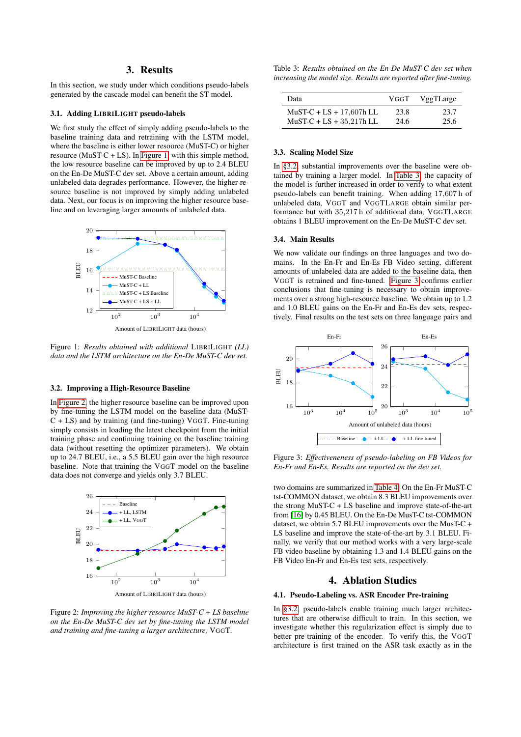## 3. Results

In this section, we study under which conditions pseudo-labels generated by the cascade model can benefit the ST model.

### <span id="page-2-0"></span>3.1. Adding LIBRILIGHT pseudo-labels

We first study the effect of simply adding pseudo-labels to the baseline training data and retraining with the LSTM model, where the baseline is either lower resource (MuST-C) or higher resource (MuST-C + LS). In [Figure 1,](#page-2-4) with this simple method, the low resource baseline can be improved by up to 2.4 BLEU on the En-De MuST-C dev set. Above a certain amount, adding unlabeled data degrades performance. However, the higher resource baseline is not improved by simply adding unlabeled data. Next, our focus is on improving the higher resource baseline and on leveraging larger amounts of unlabeled data.

<span id="page-2-4"></span>

Figure 1: *Results obtained with additional* LIBRILIGHT *(LL) data and the LSTM architecture on the En-De MuST-C dev set.*

#### <span id="page-2-1"></span>3.2. Improving a High-Resource Baseline

In [Figure 2,](#page-2-5) the higher resource baseline can be improved upon by fine-tuning the LSTM model on the baseline data (MuST-C + LS) and by training (and fine-tuning) VGGT. Fine-tuning simply consists in loading the latest checkpoint from the initial training phase and continuing training on the baseline training data (without resetting the optimizer parameters). We obtain up to 24.7 BLEU, i.e., a 5.5 BLEU gain over the high resource baseline. Note that training the VGGT model on the baseline data does not converge and yields only 3.7 BLEU.

<span id="page-2-5"></span>

Figure 2: *Improving the higher resource MuST-C + LS baseline on the En-De MuST-C dev set by fine-tuning the LSTM model and training and fine-tuning a larger architecture,* VGGT*.*

<span id="page-2-6"></span>Table 3: *Results obtained on the En-De MuST-C dev set when increasing the model size. Results are reported after fine-tuning.*

| Data                       | VGGT | VggTLarge |
|----------------------------|------|-----------|
| $MuST-C + LS + 17,607h LL$ | 23.8 | 23.7      |
| $MuST-C + LS + 35,217h LL$ | 24.6 | 25.6      |

#### <span id="page-2-2"></span>3.3. Scaling Model Size

In [§3.2,](#page-2-1) substantial improvements over the baseline were obtained by training a larger model. In [Table 3,](#page-2-6) the capacity of the model is further increased in order to verify to what extent pseudo-labels can benefit training. When adding 17,607 h of unlabeled data, VGGT and VGGTLARGE obtain similar performance but with 35,217 h of additional data, VGGTLARGE obtains 1 BLEU improvement on the En-De MuST-C dev set.

## 3.4. Main Results

We now validate our findings on three languages and two domains. In the En-Fr and En-Es FB Video setting, different amounts of unlabeled data are added to the baseline data, then VGGT is retrained and fine-tuned. [Figure 3](#page-2-7) confirms earlier conclusions that fine-tuning is necessary to obtain improvements over a strong high-resource baseline. We obtain up to 1.2 and 1.0 BLEU gains on the En-Fr and En-Es dev sets, respectively. Final results on the test sets on three language pairs and

<span id="page-2-7"></span>

Figure 3: *Effectiveneness of pseudo-labeling on FB Videos for En-Fr and En-Es. Results are reported on the dev set.*

two domains are summarized in [Table 4.](#page-3-2) On the En-Fr MuST-C tst-COMMON dataset, we obtain 8.3 BLEU improvements over the strong MuST-C + LS baseline and improve state-of-the-art from [\[16\]](#page-4-15) by 0.45 BLEU. On the En-De MusT-C tst-COMMON dataset, we obtain 5.7 BLEU improvements over the MusT-C + LS baseline and improve the state-of-the-art by 3.1 BLEU. Finally, we verify that our method works with a very large-scale FB video baseline by obtaining 1.3 and 1.4 BLEU gains on the FB Video En-Fr and En-Es test sets, respectively.

## 4. Ablation Studies

#### <span id="page-2-3"></span>4.1. Pseudo-Labeling vs. ASR Encoder Pre-training

In [§3.2,](#page-2-1) pseudo-labels enable training much larger architectures that are otherwise difficult to train. In this section, we investigate whether this regularization effect is simply due to better pre-training of the encoder. To verify this, the VGGT architecture is first trained on the ASR task exactly as in the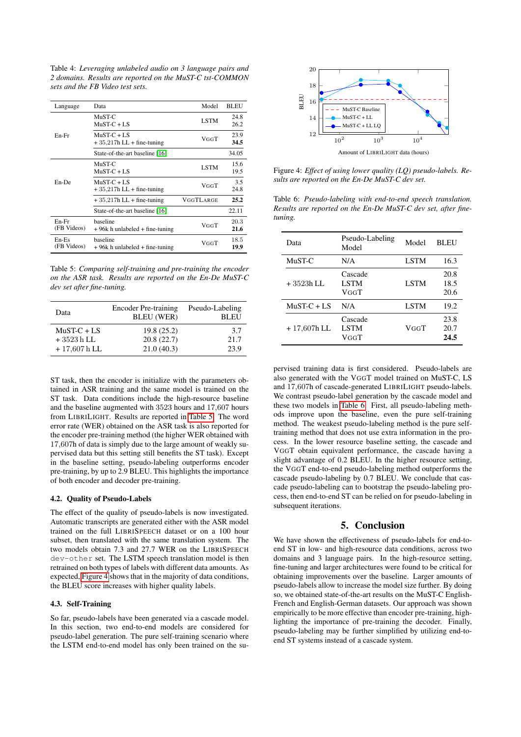<span id="page-3-2"></span>Table 4: *Leveraging unlabeled audio on 3 language pairs and 2 domains. Results are reported on the MuST-C tst-COMMON sets and the FB Video test sets.*

| Language             | Data                                           | Model       | <b>BLEU</b>  |
|----------------------|------------------------------------------------|-------------|--------------|
|                      | $MuST-C$<br>$MuST-C + LS$                      | <b>LSTM</b> | 24.8<br>26.2 |
| En-Fr                | $MuST-C + LS$<br>$+35,217h$ LL $+$ fine-tuning | VGGT        | 23.9<br>34.5 |
|                      | State-of-the-art baseline [16]                 |             | 34.05        |
|                      | MuST-C<br>$MuST-C + LS$                        | <b>LSTM</b> | 15.6<br>19.5 |
| En-De                | $MuST-C + LS$<br>$+35,217h$ LL $+$ fine-tuning | VGGT        | 3.5<br>24.8  |
|                      | $+35,217h$ LL $+$ fine-tuning                  | VGGTLARGE   | 25.2         |
|                      | State-of-the-art baseline [16]                 |             | 22.11        |
| En-Fr<br>(FB Videos) | baseline<br>+96k h unlabeled + fine-tuning     | VGGT        | 20.3<br>21.6 |
| En-Es<br>(FB Videos) | baseline<br>+96k h unlabeled + fine-tuning     | VGGT        | 18.5<br>19.9 |

<span id="page-3-3"></span>Table 5: *Comparing self-training and pre-training the encoder on the ASR task. Results are reported on the En-De MuST-C dev set after fine-tuning.*

| Data           | Encoder Pre-training<br><b>BLEU</b> (WER) | Pseudo-Labeling<br><b>BLEU</b> |
|----------------|-------------------------------------------|--------------------------------|
| $MuST-C + LS$  | 19.8 (25.2)                               | 3.7                            |
| $+3523h$ LL    | 20.8(22.7)                                | 21.7                           |
| $+17,607$ h LL | 21.0(40.3)                                | 23.9                           |

ST task, then the encoder is initialize with the parameters obtained in ASR training and the same model is trained on the ST task. Data conditions include the high-resource baseline and the baseline augmented with 3523 hours and 17,607 hours from LIBRILIGHT. Results are reported in [Table 5.](#page-3-3) The word error rate (WER) obtained on the ASR task is also reported for the encoder pre-training method (the higher WER obtained with 17,607h of data is simply due to the large amount of weakly supervised data but this setting still benefits the ST task). Except in the baseline setting, pseudo-labeling outperforms encoder pre-training, by up to 2.9 BLEU. This highlights the importance of both encoder and decoder pre-training.

### <span id="page-3-0"></span>4.2. Quality of Pseudo-Labels

The effect of the quality of pseudo-labels is now investigated. Automatic transcripts are generated either with the ASR model trained on the full LIBRISPEECH dataset or on a 100 hour subset, then translated with the same translation system. The two models obtain 7.3 and 27.7 WER on the LIBRISPEECH dev-other set. The LSTM speech translation model is then retrained on both types of labels with different data amounts. As expected, [Figure 4](#page-3-4) shows that in the majority of data conditions, the BLEU score increases with higher quality labels.

#### <span id="page-3-1"></span>4.3. Self-Training

So far, pseudo-labels have been generated via a cascade model. In this section, two end-to-end models are considered for pseudo-label generation. The pure self-training scenario where the LSTM end-to-end model has only been trained on the su-

<span id="page-3-4"></span>

Figure 4: *Effect of using lower quality (LQ) pseudo-labels. Results are reported on the En-De MuST-C dev set.*

<span id="page-3-5"></span>Table 6: *Pseudo-labeling with end-to-end speech translation. Results are reported on the En-De MuST-C dev set, after finetuning.*

| Data          | Pseudo-Labeling<br>Model       | Model       | <b>BLEU</b>          |
|---------------|--------------------------------|-------------|----------------------|
| MuST-C        | N/A                            | <b>LSTM</b> | 16.3                 |
| + 3523h LL    | Cascade<br><b>LSTM</b><br>VGGT | <b>LSTM</b> | 20.8<br>18.5<br>20.6 |
| $MuST-C + LS$ | N/A                            | <b>LSTM</b> | 19.2                 |
| $+17,607h$ LL | Cascade<br><b>LSTM</b><br>VGGT | VGGT        | 23.8<br>20.7<br>24.5 |

pervised training data is first considered. Pseudo-labels are also generated with the VGGT model trained on MuST-C, LS and 17,607h of cascade-generated LIBRILIGHT pseudo-labels. We contrast pseudo-label generation by the cascade model and these two models in [Table 6.](#page-3-5) First, all pseudo-labeling methods improve upon the baseline, even the pure self-training method. The weakest pseudo-labeling method is the pure selftraining method that does not use extra information in the process. In the lower resource baseline setting, the cascade and VGGT obtain equivalent performance, the cascade having a slight advantage of 0.2 BLEU. In the higher resource setting, the VGGT end-to-end pseudo-labeling method outperforms the cascade pseudo-labeling by 0.7 BLEU. We conclude that cascade pseudo-labeling can to bootstrap the pseudo-labeling process, then end-to-end ST can be relied on for pseudo-labeling in subsequent iterations.

### 5. Conclusion

We have shown the effectiveness of pseudo-labels for end-toend ST in low- and high-resource data conditions, across two domains and 3 language pairs. In the high-resource setting, fine-tuning and larger architectures were found to be critical for obtaining improvements over the baseline. Larger amounts of pseudo-labels allow to increase the model size further. By doing so, we obtained state-of-the-art results on the MuST-C English-French and English-German datasets. Our approach was shown empirically to be more effective than encoder pre-training, highlighting the importance of pre-training the decoder. Finally, pseudo-labeling may be further simplified by utilizing end-toend ST systems instead of a cascade system.